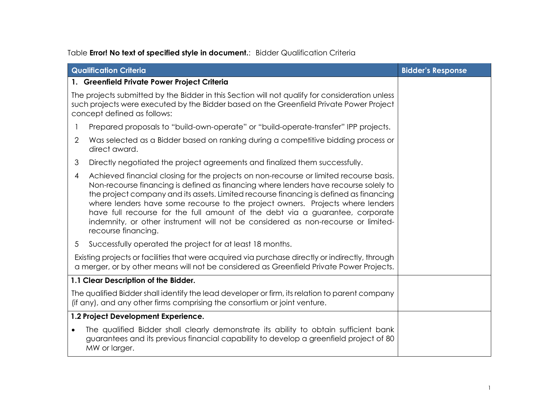## Table **Error! No text of specified style in document.**: Bidder Qualification Criteria

|                                                                                                                                                                                             | <b>Qualification Criteria</b>                                                                                                                                                                                                                                                                                                                                                                                                                                                                                                                           | <b>Bidder's Response</b> |
|---------------------------------------------------------------------------------------------------------------------------------------------------------------------------------------------|---------------------------------------------------------------------------------------------------------------------------------------------------------------------------------------------------------------------------------------------------------------------------------------------------------------------------------------------------------------------------------------------------------------------------------------------------------------------------------------------------------------------------------------------------------|--------------------------|
|                                                                                                                                                                                             | 1. Greenfield Private Power Project Criteria                                                                                                                                                                                                                                                                                                                                                                                                                                                                                                            |                          |
|                                                                                                                                                                                             | The projects submitted by the Bidder in this Section will not qualify for consideration unless<br>such projects were executed by the Bidder based on the Greenfield Private Power Project<br>concept defined as follows:                                                                                                                                                                                                                                                                                                                                |                          |
|                                                                                                                                                                                             | Prepared proposals to "build-own-operate" or "build-operate-transfer" IPP projects.                                                                                                                                                                                                                                                                                                                                                                                                                                                                     |                          |
| 2                                                                                                                                                                                           | Was selected as a Bidder based on ranking during a competitive bidding process or<br>direct award.                                                                                                                                                                                                                                                                                                                                                                                                                                                      |                          |
| 3                                                                                                                                                                                           | Directly negotiated the project agreements and finalized them successfully.                                                                                                                                                                                                                                                                                                                                                                                                                                                                             |                          |
| 4                                                                                                                                                                                           | Achieved financial closing for the projects on non-recourse or limited recourse basis.<br>Non-recourse financing is defined as financing where lenders have recourse solely to<br>the project company and its assets. Limited recourse financing is defined as financing<br>where lenders have some recourse to the project owners. Projects where lenders<br>have full recourse for the full amount of the debt via a guarantee, corporate<br>indemnity, or other instrument will not be considered as non-recourse or limited-<br>recourse financing. |                          |
| $5\overline{)}$                                                                                                                                                                             | Successfully operated the project for at least 18 months.                                                                                                                                                                                                                                                                                                                                                                                                                                                                                               |                          |
| Existing projects or facilities that were acquired via purchase directly or indirectly, through<br>a merger, or by other means will not be considered as Greenfield Private Power Projects. |                                                                                                                                                                                                                                                                                                                                                                                                                                                                                                                                                         |                          |
|                                                                                                                                                                                             | 1.1 Clear Description of the Bidder.                                                                                                                                                                                                                                                                                                                                                                                                                                                                                                                    |                          |
|                                                                                                                                                                                             | The qualified Bidder shall identify the lead developer or firm, its relation to parent company<br>(if any), and any other firms comprising the consortium or joint venture.                                                                                                                                                                                                                                                                                                                                                                             |                          |
|                                                                                                                                                                                             | 1.2 Project Development Experience.                                                                                                                                                                                                                                                                                                                                                                                                                                                                                                                     |                          |
| $\bullet$                                                                                                                                                                                   | The qualified Bidder shall clearly demonstrate its ability to obtain sufficient bank<br>guarantees and its previous financial capability to develop a greenfield project of 80<br>MW or larger.                                                                                                                                                                                                                                                                                                                                                         |                          |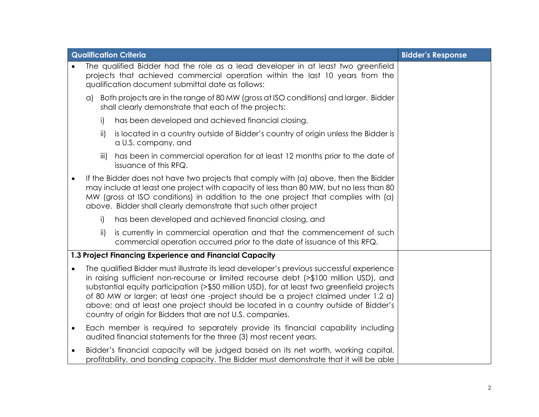|           | <b>Qualification Criteria</b>                           | <b>Bidder's Response</b>                                                                                                                                                                                                                                                                                                                                                                                                                                                                                                  |  |
|-----------|---------------------------------------------------------|---------------------------------------------------------------------------------------------------------------------------------------------------------------------------------------------------------------------------------------------------------------------------------------------------------------------------------------------------------------------------------------------------------------------------------------------------------------------------------------------------------------------------|--|
|           |                                                         | The qualified Bidder had the role as a lead developer in at least two greenfield<br>projects that achieved commercial operation within the last 10 years from the<br>qualification document submittal date as follows:                                                                                                                                                                                                                                                                                                    |  |
|           | $\alpha$                                                | Both projects are in the range of 80 MW (gross at ISO conditions) and larger. Bidder<br>shall clearly demonstrate that each of the projects:                                                                                                                                                                                                                                                                                                                                                                              |  |
|           | i)                                                      | has been developed and achieved financial closing,                                                                                                                                                                                                                                                                                                                                                                                                                                                                        |  |
|           | ii)                                                     | is located in a country outside of Bidder's country of origin unless the Bidder is<br>a U.S. company, and                                                                                                                                                                                                                                                                                                                                                                                                                 |  |
|           | iii)                                                    | has been in commercial operation for at least 12 months prior to the date of<br>issuance of this RFQ.                                                                                                                                                                                                                                                                                                                                                                                                                     |  |
|           |                                                         | If the Bidder does not have two projects that comply with (a) above, then the Bidder<br>may include at least one project with capacity of less than 80 MW, but no less than 80<br>MW (gross at ISO conditions) in addition to the one project that complies with (a)<br>above. Bidder shall clearly demonstrate that such other project                                                                                                                                                                                   |  |
|           | i)                                                      | has been developed and achieved financial closing, and                                                                                                                                                                                                                                                                                                                                                                                                                                                                    |  |
|           | $\mathsf{ii}$                                           | is currently in commercial operation and that the commencement of such<br>commercial operation occurred prior to the date of issuance of this RFQ.                                                                                                                                                                                                                                                                                                                                                                        |  |
|           | 1.3 Project Financing Experience and Financial Capacity |                                                                                                                                                                                                                                                                                                                                                                                                                                                                                                                           |  |
|           |                                                         | The qualified Bidder must illustrate its lead developer's previous successful experience<br>in raising sufficient non-recourse or limited recourse debt (>\$100 million USD), and<br>substantial equity participation (>\$50 million USD), for at least two greenfield projects<br>of 80 MW or larger; at least one -project should be a project claimed under 1.2 a)<br>above; and at least one project should be located in a country outside of Bidder's<br>country of origin for Bidders that are not U.S. companies. |  |
| $\bullet$ |                                                         | Each member is required to separately provide its financial capability including<br>audited financial statements for the three (3) most recent years.                                                                                                                                                                                                                                                                                                                                                                     |  |
| $\bullet$ |                                                         | Bidder's financial capacity will be judged based on its net worth, working capital,<br>profitability, and bonding capacity. The Bidder must demonstrate that it will be able                                                                                                                                                                                                                                                                                                                                              |  |